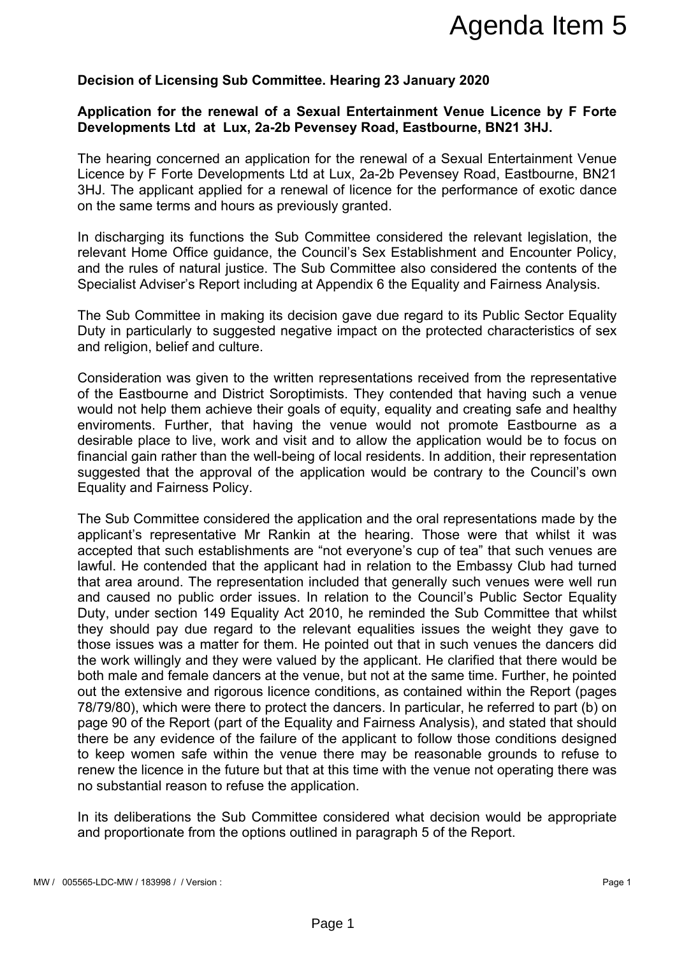# **Decision of Licensing Sub Committee. Hearing 23 January 2020**

## **Application for the renewal of a Sexual Entertainment Venue Licence by F Forte Developments Ltd at Lux, 2a-2b Pevensey Road, Eastbourne, BN21 3HJ.**

The hearing concerned an application for the renewal of a Sexual Entertainment Venue Licence by F Forte Developments Ltd at Lux, 2a-2b Pevensey Road, Eastbourne, BN21 3HJ. The applicant applied for a renewal of licence for the performance of exotic dance on the same terms and hours as previously granted.

In discharging its functions the Sub Committee considered the relevant legislation, the relevant Home Office guidance, the Council's Sex Establishment and Encounter Policy, and the rules of natural justice. The Sub Committee also considered the contents of the Specialist Adviser's Report including at Appendix 6 the Equality and Fairness Analysis.

The Sub Committee in making its decision gave due regard to its Public Sector Equality Duty in particularly to suggested negative impact on the protected characteristics of sex and religion, belief and culture.

Consideration was given to the written representations received from the representative of the Eastbourne and District Soroptimists. They contended that having such a venue would not help them achieve their goals of equity, equality and creating safe and healthy enviroments. Further, that having the venue would not promote Eastbourne as a desirable place to live, work and visit and to allow the application would be to focus on financial gain rather than the well-being of local residents. In addition, their representation suggested that the approval of the application would be contrary to the Council's own Equality and Fairness Policy.

The Sub Committee considered the application and the oral representations made by the applicant's representative Mr Rankin at the hearing. Those were that whilst it was accepted that such establishments are "not everyone's cup of tea" that such venues are lawful. He contended that the applicant had in relation to the Embassy Club had turned that area around. The representation included that generally such venues were well run and caused no public order issues. In relation to the Council's Public Sector Equality Duty, under section 149 Equality Act 2010, he reminded the Sub Committee that whilst they should pay due regard to the relevant equalities issues the weight they gave to those issues was a matter for them. He pointed out that in such venues the dancers did the work willingly and they were valued by the applicant. He clarified that there would be both male and female dancers at the venue, but not at the same time. Further, he pointed out the extensive and rigorous licence conditions, as contained within the Report (pages 78/79/80), which were there to protect the dancers. In particular, he referred to part (b) on page 90 of the Report (part of the Equality and Fairness Analysis), and stated that should there be any evidence of the failure of the applicant to follow those conditions designed to keep women safe within the venue there may be reasonable grounds to refuse to renew the licence in the future but that at this time with the venue not operating there was no substantial reason to refuse the application. Agenda Item 5<br>
De. Hearing 23 January 2020<br>
Eventeral Entertainment Venue Licence by F Forte<br>
venues of Road, Eastbourne, BN21 3HJ.<br>
at Lux, 2a-2b Pevensey Road, Eastbourne, BN21<br>
at Lux, 2a-2b Pevensey Road, Eastbourne, B

In its deliberations the Sub Committee considered what decision would be appropriate and proportionate from the options outlined in paragraph 5 of the Report.